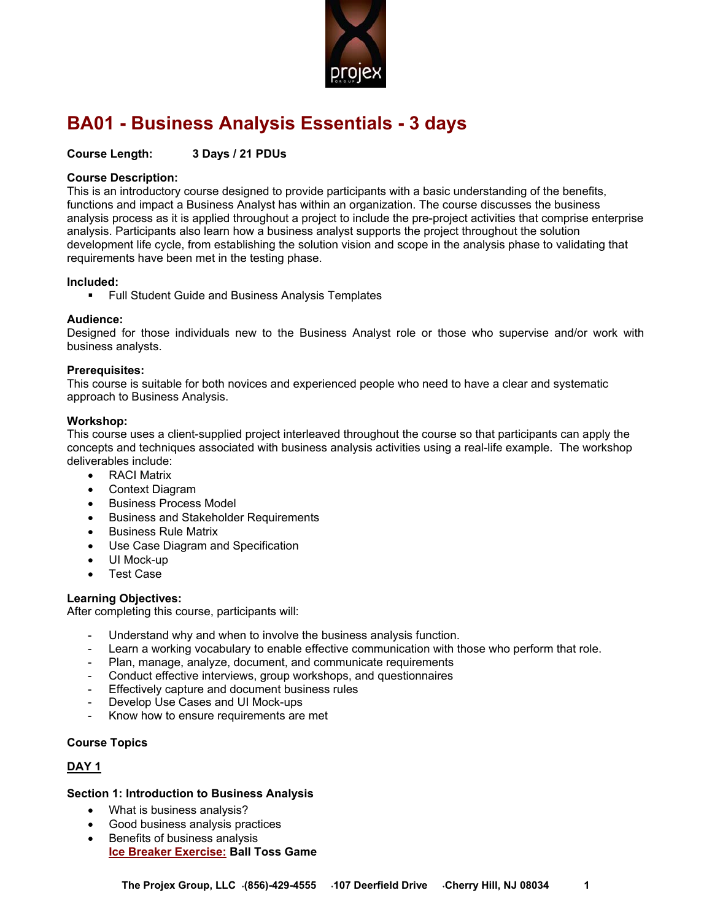

# **BA01 - Business Analysis Essentials - 3 days**

### **Course Length: 3 Days / 21 PDUs**

### **Course Description:**

This is an introductory course designed to provide participants with a basic understanding of the benefits, functions and impact a Business Analyst has within an organization. The course discusses the business analysis process as it is applied throughout a project to include the pre-project activities that comprise enterprise analysis. Participants also learn how a business analyst supports the project throughout the solution development life cycle, from establishing the solution vision and scope in the analysis phase to validating that requirements have been met in the testing phase.

#### **Included:**

**Full Student Guide and Business Analysis Templates** 

### **Audience:**

Designed for those individuals new to the Business Analyst role or those who supervise and/or work with business analysts.

#### **Prerequisites:**

This course is suitable for both novices and experienced people who need to have a clear and systematic approach to Business Analysis.

### **Workshop:**

This course uses a client-supplied project interleaved throughout the course so that participants can apply the concepts and techniques associated with business analysis activities using a real-life example. The workshop deliverables include:

- RACI Matrix
- Context Diagram
- **•** Business Process Model
- **•** Business and Stakeholder Requirements
- Business Rule Matrix
- Use Case Diagram and Specification
- UI Mock-up
- Test Case

#### **Learning Objectives:**

After completing this course, participants will:

- Understand why and when to involve the business analysis function.
- Learn a working vocabulary to enable effective communication with those who perform that role.
- Plan, manage, analyze, document, and communicate requirements
- Conduct effective interviews, group workshops, and questionnaires
- Effectively capture and document business rules
- Develop Use Cases and UI Mock-ups
- Know how to ensure requirements are met

### **Course Topics**

### **DAY 1**

#### **Section 1: Introduction to Business Analysis**

- What is business analysis?
- Good business analysis practices
- Benefits of business analysis **Ice Breaker Exercise: Ball Toss Game**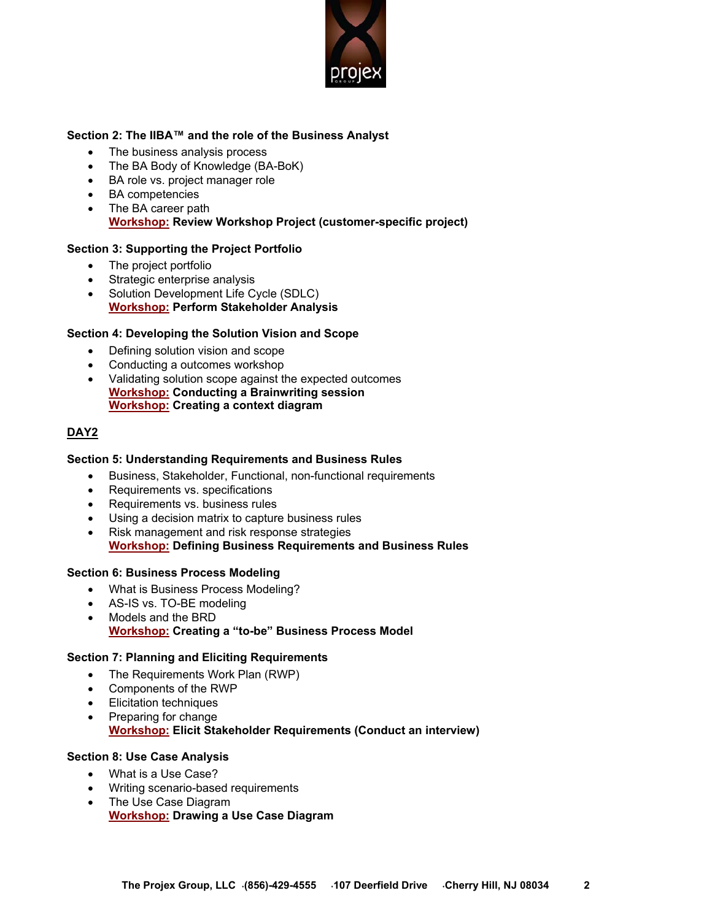

# **Section 2: The IIBA™ and the role of the Business Analyst**

- The business analysis process
- The BA Body of Knowledge (BA-BoK)
- BA role vs. project manager role
- BA competencies
- The BA career path **Workshop: Review Workshop Project (customer-specific project)**

# **Section 3: Supporting the Project Portfolio**

- The project portfolio
- Strategic enterprise analysis
- Solution Development Life Cycle (SDLC) **Workshop: Perform Stakeholder Analysis**

# **Section 4: Developing the Solution Vision and Scope**

- Defining solution vision and scope
- Conducting a outcomes workshop
- Validating solution scope against the expected outcomes **Workshop: Conducting a Brainwriting session Workshop: Creating a context diagram**

### **DAY2**

### **Section 5: Understanding Requirements and Business Rules**

- Business, Stakeholder, Functional, non-functional requirements
- Requirements vs. specifications
- Requirements vs. business rules
- Using a decision matrix to capture business rules
- Risk management and risk response strategies **Workshop: Defining Business Requirements and Business Rules**

### **Section 6: Business Process Modeling**

- What is Business Process Modeling?
- AS-IS vs. TO-BE modeling
- Models and the BRD
	- **Workshop: Creating a "to-be" Business Process Model**

### **Section 7: Planning and Eliciting Requirements**

- The Requirements Work Plan (RWP)
- Components of the RWP
- Elicitation techniques
- Preparing for change

## **Workshop: Elicit Stakeholder Requirements (Conduct an interview)**

### **Section 8: Use Case Analysis**

- What is a Use Case?
- Writing scenario-based requirements
- The Use Case Diagram **Workshop: Drawing a Use Case Diagram**